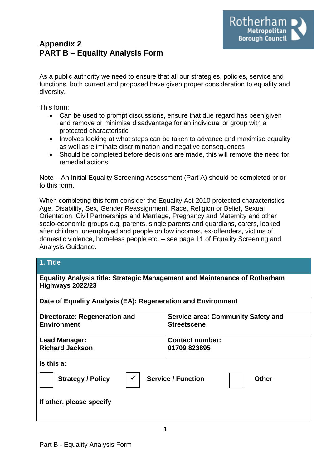## **Appendix 2 PART B – Equality Analysis Form**

As a public authority we need to ensure that all our strategies, policies, service and functions, both current and proposed have given proper consideration to equality and diversity.

This form:

- Can be used to prompt discussions, ensure that due regard has been given and remove or minimise disadvantage for an individual or group with a protected characteristic
- Involves looking at what steps can be taken to advance and maximise equality as well as eliminate discrimination and negative consequences
- Should be completed before decisions are made, this will remove the need for remedial actions.

Note – An Initial Equality Screening Assessment (Part A) should be completed prior to this form.

When completing this form consider the Equality Act 2010 protected characteristics Age, Disability, Sex, Gender Reassignment, Race, Religion or Belief, Sexual Orientation, Civil Partnerships and Marriage, Pregnancy and Maternity and other socio-economic groups e.g. parents, single parents and guardians, carers, looked after children, unemployed and people on low incomes, ex-offenders, victims of domestic violence, homeless people etc. – see page 11 of Equality Screening and Analysis Guidance.

### **1. Title**

| <b>Equality Analysis title: Strategic Management and Maintenance of Rotherham</b><br>Highways 2022/23 |                                                                 |  |  |  |
|-------------------------------------------------------------------------------------------------------|-----------------------------------------------------------------|--|--|--|
| Date of Equality Analysis (EA): Regeneration and Environment                                          |                                                                 |  |  |  |
| Directorate: Regeneration and<br><b>Environment</b>                                                   | <b>Service area: Community Safety and</b><br><b>Streetscene</b> |  |  |  |
| Lead Manager:<br><b>Richard Jackson</b>                                                               | <b>Contact number:</b><br>01709 823895                          |  |  |  |
| Is this a:<br><b>Service / Function</b><br><b>Strategy / Policy</b><br>Other                          |                                                                 |  |  |  |
| If other, please specify                                                                              |                                                                 |  |  |  |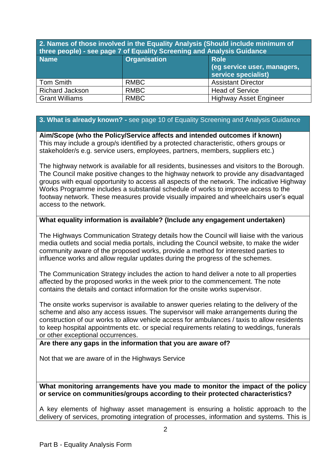**2. Names of those involved in the Equality Analysis (Should include minimum of three people) - see page 7 of Equality Screening and Analysis Guidance** 

| <b>Name</b>            | <b>Organisation</b> | <b>Role</b><br>(eg service user, managers,<br>service specialist) |
|------------------------|---------------------|-------------------------------------------------------------------|
| Tom Smith              | <b>RMBC</b>         | <b>Assistant Director</b>                                         |
| <b>Richard Jackson</b> | <b>RMBC</b>         | <b>Head of Service</b>                                            |
| <b>Grant Williams</b>  | <b>RMBC</b>         | <b>Highway Asset Engineer</b>                                     |

### **3. What is already known? -** see page 10 of Equality Screening and Analysis Guidance

**Aim/Scope (who the Policy/Service affects and intended outcomes if known)** This may include a group/s identified by a protected characteristic, others groups or stakeholder/s e.g. service users, employees, partners, members, suppliers etc.)

The highway network is available for all residents, businesses and visitors to the Borough. The Council make positive changes to the highway network to provide any disadvantaged groups with equal opportunity to access all aspects of the network. The indicative Highway Works Programme includes a substantial schedule of works to improve access to the footway network. These measures provide visually impaired and wheelchairs user's equal access to the network.

### **What equality information is available? (Include any engagement undertaken)**

The Highways Communication Strategy details how the Council will liaise with the various media outlets and social media portals, including the Council website, to make the wider community aware of the proposed works, provide a method for interested parties to influence works and allow regular updates during the progress of the schemes.

The Communication Strategy includes the action to hand deliver a note to all properties affected by the proposed works in the week prior to the commencement. The note contains the details and contact information for the onsite works supervisor.

The onsite works supervisor is available to answer queries relating to the delivery of the scheme and also any access issues. The supervisor will make arrangements during the construction of our works to allow vehicle access for ambulances / taxis to allow residents to keep hospital appointments etc. or special requirements relating to weddings, funerals or other exceptional occurrences.

### **Are there any gaps in the information that you are aware of?**

Not that we are aware of in the Highways Service

**What monitoring arrangements have you made to monitor the impact of the policy or service on communities/groups according to their protected characteristics?**

A key elements of highway asset management is ensuring a holistic approach to the delivery of services, promoting integration of processes, information and systems. This is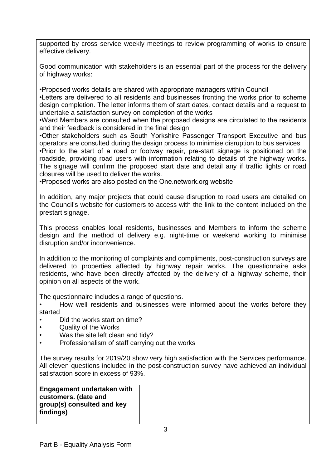supported by cross service weekly meetings to review programming of works to ensure effective delivery.

Good communication with stakeholders is an essential part of the process for the delivery of highway works:

•Proposed works details are shared with appropriate managers within Council

•Letters are delivered to all residents and businesses fronting the works prior to scheme design completion. The letter informs them of start dates, contact details and a request to undertake a satisfaction survey on completion of the works

•Ward Members are consulted when the proposed designs are circulated to the residents and their feedback is considered in the final design

•Other stakeholders such as South Yorkshire Passenger Transport Executive and bus operators are consulted during the design process to minimise disruption to bus services •Prior to the start of a road or footway repair, pre-start signage is positioned on the roadside, providing road users with information relating to details of the highway works. The signage will confirm the proposed start date and detail any if traffic lights or road closures will be used to deliver the works.

•Proposed works are also posted on the One.network.org website

In addition, any major projects that could cause disruption to road users are detailed on the Council's website for customers to access with the link to the content included on the prestart signage.

This process enables local residents, businesses and Members to inform the scheme design and the method of delivery e.g. night-time or weekend working to minimise disruption and/or inconvenience.

In addition to the monitoring of complaints and compliments, post-construction surveys are delivered to properties affected by highway repair works. The questionnaire asks residents, who have been directly affected by the delivery of a highway scheme, their opinion on all aspects of the work.

The questionnaire includes a range of questions.

• How well residents and businesses were informed about the works before they started

- Did the works start on time?
- Quality of the Works
- Was the site left clean and tidy?
- Professionalism of staff carrying out the works

The survey results for 2019/20 show very high satisfaction with the Services performance. All eleven questions included in the post-construction survey have achieved an individual satisfaction score in excess of 93%.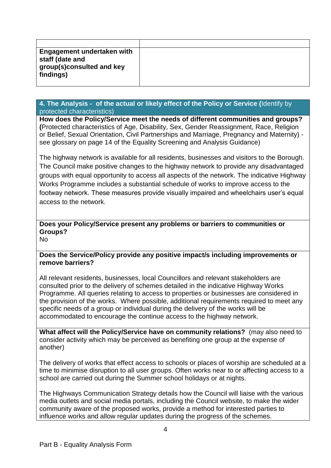| <b>Engagement undertaken with</b><br>staff (date and |  |
|------------------------------------------------------|--|
| group(s)consulted and key<br>findings)               |  |
|                                                      |  |

### **4. The Analysis - of the actual or likely effect of the Policy or Service (**Identify by protected characteristics)

**How does the Policy/Service meet the needs of different communities and groups? (**Protected characteristics of Age, Disability, Sex, Gender Reassignment, Race, Religion or Belief, Sexual Orientation, Civil Partnerships and Marriage, Pregnancy and Maternity) see glossary on page 14 of the Equality Screening and Analysis Guidance)

The highway network is available for all residents, businesses and visitors to the Borough. The Council make positive changes to the highway network to provide any disadvantaged groups with equal opportunity to access all aspects of the network. The indicative Highway Works Programme includes a substantial schedule of works to improve access to the footway network. These measures provide visually impaired and wheelchairs user's equal access to the network.

### **Does your Policy/Service present any problems or barriers to communities or Groups?**

No

### **Does the Service/Policy provide any positive impact/s including improvements or remove barriers?**

All relevant residents, businesses, local Councillors and relevant stakeholders are consulted prior to the delivery of schemes detailed in the indicative Highway Works Programme. All queries relating to access to properties or businesses are considered in the provision of the works. Where possible, additional requirements required to meet any specific needs of a group or individual during the delivery of the works will be accommodated to encourage the continue access to the highway network.

**What affect will the Policy/Service have on community relations?** (may also need to consider activity which may be perceived as benefiting one group at the expense of another)

The delivery of works that effect access to schools or places of worship are scheduled at a time to minimise disruption to all user groups. Often works near to or affecting access to a school are carried out during the Summer school holidays or at nights.

The Highways Communication Strategy details how the Council will liaise with the various media outlets and social media portals, including the Council website, to make the wider community aware of the proposed works, provide a method for interested parties to influence works and allow regular updates during the progress of the schemes.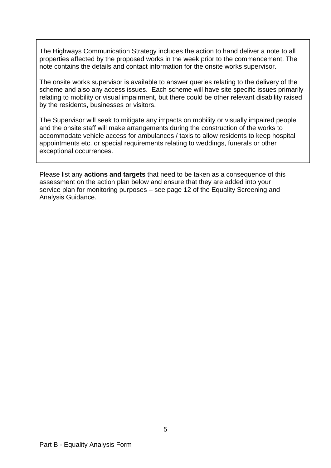The Highways Communication Strategy includes the action to hand deliver a note to all properties affected by the proposed works in the week prior to the commencement. The note contains the details and contact information for the onsite works supervisor.

The onsite works supervisor is available to answer queries relating to the delivery of the scheme and also any access issues. Each scheme will have site specific issues primarily relating to mobility or visual impairment, but there could be other relevant disability raised by the residents, businesses or visitors.

The Supervisor will seek to mitigate any impacts on mobility or visually impaired people and the onsite staff will make arrangements during the construction of the works to accommodate vehicle access for ambulances / taxis to allow residents to keep hospital appointments etc. or special requirements relating to weddings, funerals or other exceptional occurrences.

Please list any **actions and targets** that need to be taken as a consequence of this assessment on the action plan below and ensure that they are added into your service plan for monitoring purposes – see page 12 of the Equality Screening and Analysis Guidance.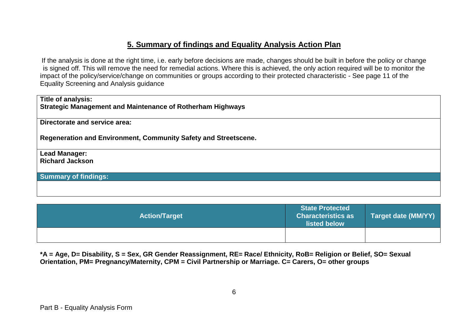## **5. Summary of findings and Equality Analysis Action Plan**

If the analysis is done at the right time, i.e. early before decisions are made, changes should be built in before the policy or change is signed off. This will remove the need for remedial actions. Where this is achieved, the only action required will be to monitor the impact of the policy/service/change on communities or groups according to their protected characteristic - See page 11 of the Equality Screening and Analysis guidance

| <b>Action/Target</b> | <b>State Protected</b><br>Characteristics as<br>listed below | <b>Target date (MM/YY)</b> |
|----------------------|--------------------------------------------------------------|----------------------------|
|                      |                                                              |                            |

**\*A = Age, D= Disability, S = Sex, GR Gender Reassignment, RE= Race/ Ethnicity, RoB= Religion or Belief, SO= Sexual Orientation, PM= Pregnancy/Maternity, CPM = Civil Partnership or Marriage. C= Carers, O= other groups**